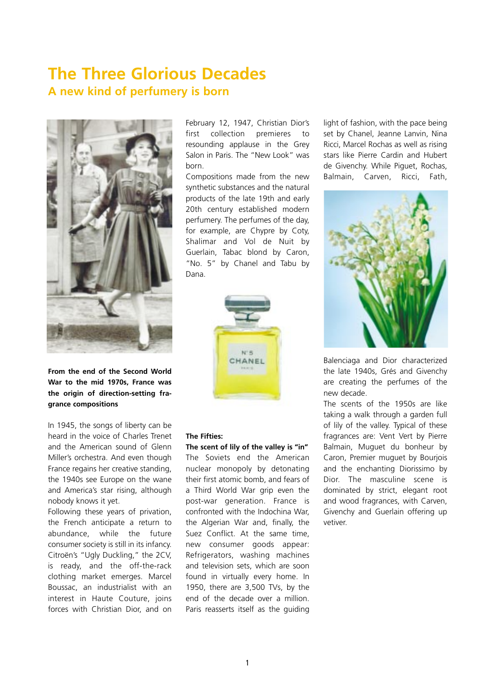# **The Three Glorious Decades A new kind of perfumery is born**



**From the end of the Second World War to the mid 1970s, France was the origin of direction-setting fragrance compositions** 

In 1945, the songs of liberty can be heard in the voice of Charles Trenet and the American sound of Glenn Miller's orchestra. And even though France regains her creative standing, the 1940s see Europe on the wane and America's star rising, although nobody knows it yet.

Following these years of privation, the French anticipate a return to abundance, while the future consumer society is still in its infancy. Citroën's "Ugly Duckling," the 2CV, is ready, and the off-the-rack clothing market emerges. Marcel Boussac, an industrialist with an interest in Haute Couture, joins forces with Christian Dior, and on

February 12, 1947, Christian Dior's first collection premieres to resounding applause in the Grey Salon in Paris. The "New Look" was born.

Compositions made from the new synthetic substances and the natural products of the late 19th and early 20th century established modern perfumery. The perfumes of the day, for example, are Chypre by Coty, Shalimar and Vol de Nuit by Guerlain, Tabac blond by Caron, "No. 5" by Chanel and Tabu by Dana.



### **The Fifties:**

#### **The scent of lily of the valley is "in"**

The Soviets end the American nuclear monopoly by detonating their first atomic bomb, and fears of a Third World War grip even the post-war generation. France is confronted with the Indochina War, the Algerian War and, finally, the Suez Conflict. At the same time, new consumer goods appear: Refrigerators, washing machines and television sets, which are soon found in virtually every home. In 1950, there are 3,500 TVs, by the end of the decade over a million. Paris reasserts itself as the guiding light of fashion, with the pace being set by Chanel, Jeanne Lanvin, Nina Ricci, Marcel Rochas as well as rising stars like Pierre Cardin and Hubert de Givenchy. While Piguet, Rochas, Balmain, Carven, Ricci, Fath,



Balenciaga and Dior characterized the late 1940s, Grés and Givenchy are creating the perfumes of the new decade.

The scents of the 1950s are like taking a walk through a garden full of lily of the valley. Typical of these fragrances are: Vent Vert by Pierre Balmain, Muguet du bonheur by Caron, Premier muguet by Bourjois and the enchanting Diorissimo by Dior. The masculine scene is dominated by strict, elegant root and wood fragrances, with Carven, Givenchy and Guerlain offering up vetiver.